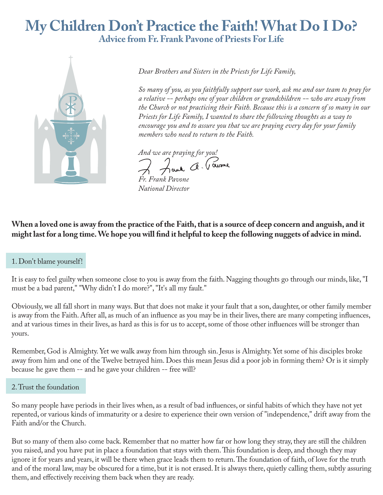# **My Children Don't Practice the Faith! What Do I Do? Advice from Fr. Frank Pavone of Priests For Life**



*Dear Brothers and Sisters in the Priests for Life Family,*

*So many of you, as you faithfully support our work, ask me and our team to pray for a relative -- perhaps one of your children or grandchildren -- who are away from the Church or not practicing their Faith. Because this is a concern of so many in our Priests for Life Family, I wanted to share the following thoughts as a way to encourage you and to assure you that we are praying every day for your family members who need to return to the Faith.* 

*And we are praying for you!*

*Fr. Frank Pavone National Director* 

**When a loved one is away from the practice of the Faith, that is a source of deep concern and anguish, and it**  might last for a long time. We hope you will find it helpful to keep the following nuggets of advice in mind.

It is easy to feel guilty when someone close to you is away from the faith. Nagging thoughts go through our minds, like, "I must be a bad parent," "Why didn't I do more?", "It's all my fault."

Obviously, we all fall short in many ways. But that does not make it your fault that a son, daughter, or other family member is away from the Faith. After all, as much of an influence as you may be in their lives, there are many competing influences, and at various times in their lives, as hard as this is for us to accept, some of those other influences will be stronger than yours.

Remember, God is Almighty. Yet we walk away from him through sin. Jesus is Almighty. Yet some of his disciples broke away from him and one of the Twelve betrayed him. Does this mean Jesus did a poor job in forming them? Or is it simply because he gave them -- and he gave your children -- free will?

So many people have periods in their lives when, as a result of bad influences, or sinful habits of which they have not yet repented, or various kinds of immaturity or a desire to experience their own version of "independence," drift away from the Faith and/or the Church.

But so many of them also come back. Remember that no matter how far or how long they stray, they are still the children you raised, and you have put in place a foundation that stays with them. This foundation is deep, and though they may ignore it for years and years, it will be there when grace leads them to return. The foundation of faith, of love for the truth and of the moral law, may be obscured for a time, but it is not erased. It is always there, quietly calling them, subtly assuring them, and effectively receiving them back when they are ready.

<sup>1.</sup> Don't blame yourself!

<sup>2.</sup> Trust the foundation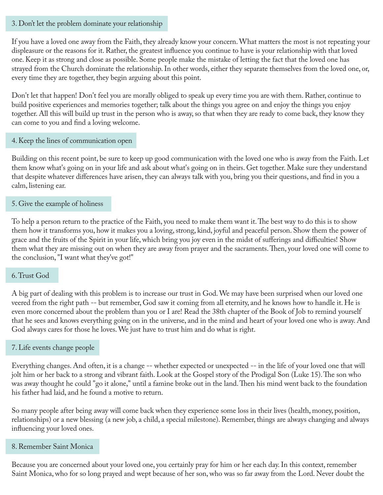## 3. Don't let the problem dominate your relationship

If you have a loved one away from the Faith, they already know your concern. What matters the most is not repeating your displeasure or the reasons for it. Rather, the greatest influence you continue to have is your relationship with that loved one. Keep it as strong and close as possible. Some people make the mistake of letting the fact that the loved one has strayed from the Church dominate the relationship. In other words, either they separate themselves from the loved one, or, every time they are together, they begin arguing about this point.

Don't let that happen! Don't feel you are morally obliged to speak up every time you are with them. Rather, continue to build positive experiences and memories together; talk about the things you agree on and enjoy the things you enjoy together. All this will build up trust in the person who is away, so that when they are ready to come back, they know they can come to you and find a loving welcome.

# 4. Keep the lines of communication open

Building on this recent point, be sure to keep up good communication with the loved one who is away from the Faith. Let them know what's going on in your life and ask about what's going on in theirs. Get together. Make sure they understand that despite whatever differences have arisen, they can always talk with you, bring you their questions, and find in you a calm, listening ear.

# 5. Give the example of holiness

To help a person return to the practice of the Faith, you need to make them want it. The best way to do this is to show them how it transforms you, how it makes you a loving, strong, kind, joyful and peaceful person. Show them the power of grace and the fruits of the Spirit in your life, which bring you joy even in the midst of sufferings and difficulties! Show them what they are missing out on when they are away from prayer and the sacraments. Then, your loved one will come to the conclusion, "I want what they've got!"

# 6. Trust God

A big part of dealing with this problem is to increase our trust in God. We may have been surprised when our loved one veered from the right path -- but remember, God saw it coming from all eternity, and he knows how to handle it. He is even more concerned about the problem than you or I are! Read the 38th chapter of the Book of Job to remind yourself that he sees and knows everything going on in the universe, and in the mind and heart of your loved one who is away. And God always cares for those he loves. We just have to trust him and do what is right.

## 7. Life events change people

Everything changes. And often, it is a change -- whether expected or unexpected -- in the life of your loved one that will jolt him or her back to a strong and vibrant faith. Look at the Gospel story of the Prodigal Son (Luke 15). The son who was away thought he could "go it alone," until a famine broke out in the land. Then his mind went back to the foundation his father had laid, and he found a motive to return.

So many people after being away will come back when they experience some loss in their lives (health, money, position, relationships) or a new blessing (a new job, a child, a special milestone). Remember, things are always changing and always influencing your loved ones.

## 8. Remember Saint Monica

Because you are concerned about your loved one, you certainly pray for him or her each day. In this context, remember Saint Monica, who for so long prayed and wept because of her son, who was so far away from the Lord. Never doubt the